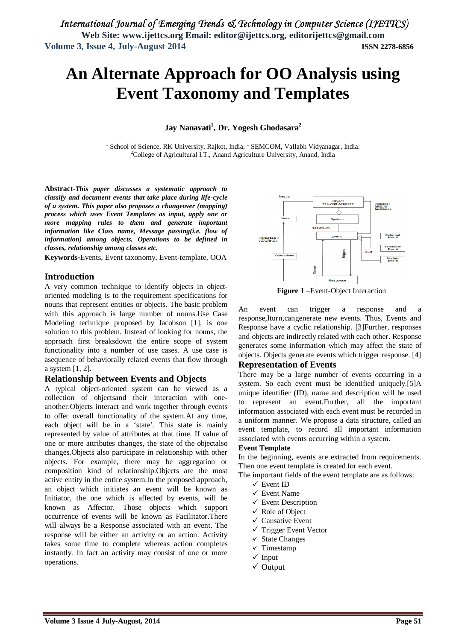# **An Alternate Approach for OO Analysis using Event Taxonomy and Templates**

**Jay Nanavati<sup>1</sup> , Dr. Yogesh Ghodasara<sup>2</sup>**

<sup>1</sup> School of Science, RK University, Rajkot, India, <sup>1</sup> SEMCOM, Vallabh Vidyanagar, India. <sup>2</sup>College of Agricultural I.T., Anand Agriculture University, Anand, India

**Abstract-***This paper discusses a systematic approach to classify and document events that take place during life-cycle of a system. This paper also proposes a changeover (mapping) process which uses Event Templates as input, apply one or more mapping rules to them and generate important information like Class name, Message passing(i.e. flow of information) among objects, Operations to be defined in classes, relationship among classes etc.*

**Keywords-**Events, Event taxonomy, Event-template, OOA

#### **Introduction**

A very common technique to identify objects in objectoriented modeling is to the requirement specifications for nouns that represent entities or objects. The basic problem with this approach is large number of nouns.Use Case Modeling technique proposed by Jacobson [1], is one solution to this problem. Instead of looking for nouns, the approach first breaksdown the entire scope of system functionality into a number of use cases. A use case is asequence of behaviorally related events that flow through a system [1, 2].

#### **Relationship between Events and Objects**

A typical object-oriented system can be viewed as a collection of objectsand their interaction with oneanother.Objects interact and work together through events to offer overall functionality of the system.At any time, each object will be in a 'state'. This state is mainly represented by value of attributes at that time. If value of one or more attributes changes, the state of the objectalso changes.Objects also participate in relationship with other objects. For example, there may be aggregation or composition kind of relationship.Objects are the most active entity in the entire system.In the proposed approach, an object which initiates an event will be known as Initiator, the one which is affected by events, will be known as Affector. Those objects which support occurrence of events will be known as Facilitator.There will always be a Response associated with an event. The response will be either an activity or an action. Activity takes some time to complete whereas action completes instantly. In fact an activity may consist of one or more operations.



**Figure 1** –Event-Object Interaction

An event can trigger a response and a response,Iturn,cangenerate new events. Thus, Events and Response have a cyclic relationship. [3]Further, responses and objects are indirectly related with each other. Response generates some information which may affect the state of objects. Objects generate events which trigger response. [4]

#### **Representation of Events**

There may be a large number of events occurring in a system. So each event must be identified uniquely.[5]A unique identifier (ID), name and description will be used to represent an event.Further, all the important information associated with each event must be recorded in a uniform manner. We propose a data structure, called an event template, to record all important information associated with events occurring within a system.

#### **Event Template**

In the beginning, events are extracted from requirements. Then one event template is created for each event.

The important fields of the event template are as follows:

- Event ID
- $\checkmark$  Event Name
- $\checkmark$  Event Description
- Role of Object
- $\checkmark$  Causative Event
- $\checkmark$  Trigger Event Vector
- $\checkmark$  State Changes
- $\checkmark$  Timestamp
- $\checkmark$  Input
- $\checkmark$  Output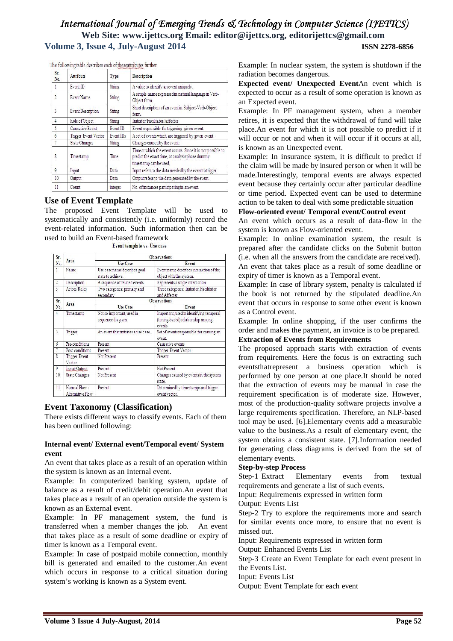The following table describes each of theseattributes further

| Sr.<br>No.     | <b>Attribute</b>            | <b>Type</b> | Description                                                                                                                              |
|----------------|-----------------------------|-------------|------------------------------------------------------------------------------------------------------------------------------------------|
| 1              | Event ID                    | String      | A value to identify an event uniquely.                                                                                                   |
|                | Event Name                  | String      | A simple name expressed in natural language in Verb-<br>Object form.                                                                     |
| 3              | Event Description           | String      | Short description of an event in Subject-Verb-Object<br>form.                                                                            |
| 4              | Role of Object              | String      | Initiator Facilitator Affecter                                                                                                           |
| 5              | Causative Event             | Event ID    | Event responsible for triggering given event.                                                                                            |
| $\overline{6}$ | <b>Trigger Event Vector</b> | Event IDs   | A set of events which are triggered by given event.                                                                                      |
| 7              | <b>State Changes</b>        | String      | Changes caused by the event.                                                                                                             |
| 8              | Timestamp                   | Time        | Time at which the event occurs. Since it is not possible to<br>predict the exact time, at analysis phase dummy<br>timestamp can be used, |
| $\mathsf{Q}$   | Input                       | Data        | Input refers to the data needed by the event to trigger.                                                                                 |
| 10             | Output                      | Data        | Output refers to the data generated by the event.                                                                                        |
| 11             | Count                       | integer     | No. of instances participating in an event.                                                                                              |

#### **Use of Event Template**

The proposed Event Template will be used to systematically and consistently (i.e. uniformly) record the event-related information. Such information then can be used to build an Event-based framework<br>Event template vs. Use case

| Sr.            | Area                            | <b>Observations</b>                               |                                                                                         |  |  |
|----------------|---------------------------------|---------------------------------------------------|-----------------------------------------------------------------------------------------|--|--|
| No.            |                                 | <b>Use Case</b>                                   | Event                                                                                   |  |  |
| $\mathbf{1}$   | Name                            | Use case name describes goal<br>state to achieve. | Event name describes interaction of the<br>object with the system.                      |  |  |
| $\overline{2}$ | Description                     | A sequence of related events.                     | Represents a single interaction.                                                        |  |  |
| 3              | Actors/Roles                    | Two categories: primary and<br>secondary          | Three categories: Initiator, Facilitator<br>and Affecter                                |  |  |
| Sr.            |                                 |                                                   | <b>Observations</b>                                                                     |  |  |
| No.            | Area                            | <b>Use Case</b>                                   | Event                                                                                   |  |  |
| 4              | Timestamp                       | Not so important, used in<br>sequence diagram.    | Important, used in identifying temporal<br>(timing-based) relationship among<br>events. |  |  |
| 5              | Trigger                         | An event that initiates a use case.               | Set of events responsible for causing an<br>event.                                      |  |  |
| 6              | Pre-conditions                  | Present                                           | Causative events                                                                        |  |  |
|                | Post-conditions                 | Present                                           | <b>Trigger Event Vector</b>                                                             |  |  |
| g              | <b>Trigger Event</b><br>Vector  | Not Present                                       | Present                                                                                 |  |  |
| 9              | Input Qutput                    | Present                                           | Not Present                                                                             |  |  |
| 10             | <b>State Changes</b>            | Not Present                                       | Changes caused by events in the system<br>state.                                        |  |  |
| 11             | Normal Flow<br>Alternative Flow | Present                                           | Determined by timestamps and trigger<br>event vector.                                   |  |  |

#### **Event Taxonomy (Classification)**

There exists different ways to classify events. Each of them has been outlined following:

#### **Internal event/ External event/Temporal event/ System event**

An event that takes place as a result of an operation within the system is known as an Internal event.

Example: In computerized banking system, update of balance as a result of credit/debit operation.An event that takes place as a result of an operation outside the system is known as an External event.

Example: In PF management system, the fund is transferred when a member changes the job. An event that takes place as a result of some deadline or expiry of timer is known as a Temporal event.

Example: In case of postpaid mobile connection, monthly bill is generated and emailed to the customer.An event which occurs in response to a critical situation during system's working is known as a System event.

Example: In nuclear system, the system is shutdown if the radiation becomes dangerous.

**Expected event/ Unexpected Event**An event which is expected to occur as a result of some operation is known as an Expected event.

Example: In PF management system, when a member retires, it is expected that the withdrawal of fund will take place.An event for which it is not possible to predict if it will occur or not and when it will occur if it occurs at all, is known as an Unexpected event.

Example: In insurance system, it is difficult to predict if the claim will be made by insured person or when it will be made.Interestingly, temporal events are always expected event because they certainly occur after particular deadline or time period. Expected event can be used to determine action to be taken to deal with some predictable situation

#### **Flow-oriented event/ Temporal event/Control event**

An event which occurs as a result of data-flow in the system is known as Flow-oriented event.

Example: In online examination system, the result is prepared after the candidate clicks on the Submit button (i.e. when all the answers from the candidate are received). An event that takes place as a result of some deadline or expiry of timer is known as a Temporal event.

Example: In case of library system, penalty is calculated if the book is not returned by the stipulated deadline.An event that occurs in response to some other event is known as a Control event.

Example: In online shopping, if the user confirms the order and makes the payment, an invoice is to be prepared. **Extraction of Events from Requirements**

The proposed approach starts with extraction of events from requirements. Here the focus is on extracting such eventsthatrepresent a business operation which is performed by one person at one place.It should be noted that the extraction of events may be manual in case the requirement specification is of moderate size. However, most of the production-quality software projects involve a large requirements specification. Therefore, an NLP-based tool may be used. [6].Elementary events add a measurable value to the business.As a result of elementary event, the system obtains a consistent state. [7].Information needed for generating class diagrams is derived from the set of elementary events.

#### **Step-by-step Process**

Step-1 Extract Elementary events from textual requirements and generate a list of such events.

Input: Requirements expressed in written form

Output: Events List

Step-2 Try to explore the requirements more and search for similar events once more, to ensure that no event is missed out.

Input: Requirements expressed in written form

Output: Enhanced Events List

Step-3 Create an Event Template for each event present in the Events List.

Input: Events List

Output: Event Template for each event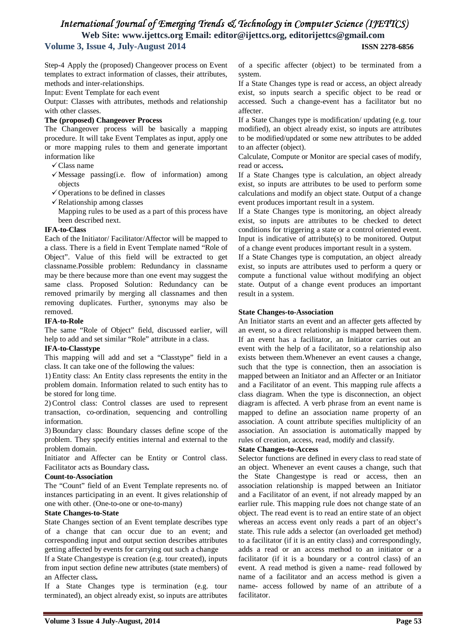Step-4 Apply the (proposed) Changeover process on Event templates to extract information of classes, their attributes, methods and inter-relationships.

Input: Event Template for each event

Output: Classes with attributes, methods and relationship with other classes.

#### **The (proposed) Changeover Process**

The Changeover process will be basically a mapping procedure. It will take Event Templates as input, apply one or more mapping rules to them and generate important information like

- $\checkmark$  Class name
- $\checkmark$  Message passing(i.e. flow of information) among objects
- $\checkmark$  Operations to be defined in classes
- $\checkmark$  Relationship among classes
- Mapping rules to be used as a part of this process have been described next.

#### **IFA-to-Class**

Each of the Initiator/ Facilitator/Affector will be mapped to a class. There is a field in Event Template named "Role of Object". Value of this field will be extracted to get classname.Possible problem: Redundancy in classname may be there because more than one event may suggest the same class. Proposed Solution: Redundancy can be removed primarily by merging all classnames and then removing duplicates. Further, synonyms may also be removed.

#### **IFA-to-Role**

The same "Role of Object" field, discussed earlier, will help to add and set similar "Role" attribute in a class.

#### **IFA-to-Classtype**

This mapping will add and set a "Classtype" field in a class. It can take one of the following the values:

1) Entity class: An Entity class represents the entity in the problem domain. Information related to such entity has to be stored for long time.

2) Control class: Control classes are used to represent transaction, co-ordination, sequencing and controlling information.

3) Boundary class: Boundary classes define scope of the problem. They specify entities internal and external to the problem domain.

Initiator and Affecter can be Entity or Control class. Facilitator acts as Boundary class**.**

#### **Count-to-Association**

The "Count" field of an Event Template represents no. of instances participating in an event. It gives relationship of one with other. (One-to-one or one-to-many)

#### **State Changes-to-State**

State Changes section of an Event template describes type of a change that can occur due to an event; and corresponding input and output section describes attributes getting affected by events for carrying out such a change

If a State Changestype is creation (e.g. tour created), inputs from input section define new attributes (state members) of an Affecter class**.** 

If a State Changes type is termination (e.g. tour terminated), an object already exist, so inputs are attributes of a specific affecter (object) to be terminated from a system.

If a State Changes type is read or access, an object already exist, so inputs search a specific object to be read or accessed. Such a change-event has a facilitator but no affecter.

If a State Changes type is modification/ updating (e.g. tour modified), an object already exist, so inputs are attributes to be modified/updated or some new attributes to be added to an affecter (object).

Calculate, Compute or Monitor are special cases of modify, read or access**.** 

If a State Changes type is calculation, an object already exist, so inputs are attributes to be used to perform some calculations and modify an object state. Output of a change event produces important result in a system.

If a State Changes type is monitoring, an object already exist, so inputs are attributes to be checked to detect conditions for triggering a state or a control oriented event. Input is indicative of attribute(s) to be monitored. Output of a change event produces important result in a system.

If a State Changes type is computation, an object already exist, so inputs are attributes used to perform a query or compute a functional value without modifying an object state. Output of a change event produces an important result in a system.

#### **State Changes-to-Association**

An Initiator starts an event and an affecter gets affected by an event, so a direct relationship is mapped between them. If an event has a facilitator, an Initiator carries out an event with the help of a facilitator, so a relationship also exists between them.Whenever an event causes a change, such that the type is connection, then an association is mapped between an Initiator and an Affecter or an Initiator and a Facilitator of an event. This mapping rule affects a class diagram. When the type is disconnection, an object diagram is affected. A verb phrase from an event name is mapped to define an association name property of an association. A count attribute specifies multiplicity of an association. An association is automatically mapped by rules of creation, access, read, modify and classify.

#### **State Changes-to-Access**

Selector functions are defined in every class to read state of an object. Whenever an event causes a change, such that the State Changestype is read or access, then an association relationship is mapped between an Initiator and a Facilitator of an event, if not already mapped by an earlier rule. This mapping rule does not change state of an object. The read event is to read an entire state of an object whereas an access event only reads a part of an object's state. This rule adds a selector (an overloaded get method) to a facilitator (if it is an entity class) and correspondingly, adds a read or an access method to an initiator or a facilitator (if it is a boundary or a control class) of an event. A read method is given a name- read followed by name of a facilitator and an access method is given a name- access followed by name of an attribute of a facilitator.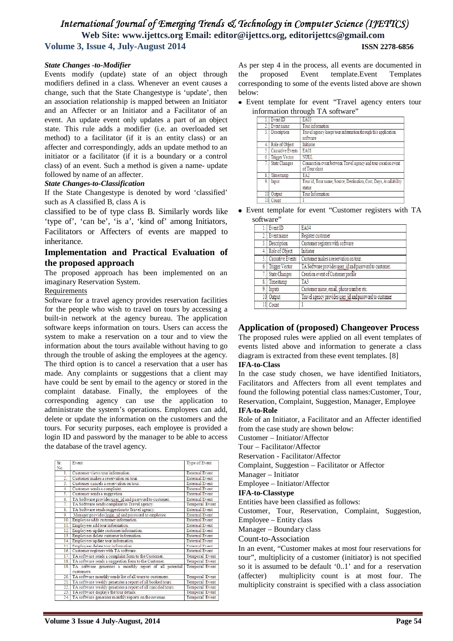#### *State Changes -to-Modifier*

Events modify (update) state of an object through modifiers defined in a class. Whenever an event causes a change, such that the State Changestype is 'update', then an association relationship is mapped between an Initiator and an Affecter or an Initiator and a Facilitator of an event. An update event only updates a part of an object state. This rule adds a modifier (i.e. an overloaded set method) to a facilitator (if it is an entity class) or an affecter and correspondingly, adds an update method to an initiator or a facilitator (if it is a boundary or a control class) of an event. Such a method is given a name- update followed by name of an affecter.

#### *State Changes-to-Classification*

If the State Changestype is denoted by word 'classified' such as A classified B, class A is

classified to be of type class B. Similarly words like 'type of', 'can be', 'is a', 'kind of' among Initiators, Facilitators or Affecters of events are mapped to inheritance.

#### **Implementation and Practical Evaluation of the proposed approach**

The proposed approach has been implemented on an imaginary Reservation System.

#### Requirements

Software for a travel agency provides reservation facilities for the people who wish to travel on tours by accessing a built-in network at the agency bureau. The application software keeps information on tours. Users can access the system to make a reservation on a tour and to view the information about the tours available without having to go through the trouble of asking the employees at the agency. The third option is to cancel a reservation that a user has made. Any complaints or suggestions that a client may have could be sent by email to the agency or stored in the complaint database. Finally, the employees of the corresponding agency can use the application to administrate the system's operations. Employees can add, delete or update the information on the customers and the tours. For security purposes, each employee is provided a login ID and password by the manager to be able to access the database of the travel agency.

| Sr.                 | Event                                                                 | Type of Event         |
|---------------------|-----------------------------------------------------------------------|-----------------------|
| No.<br>$\mathbf{1}$ | Customer views tour information                                       | <b>External Event</b> |
| 2.                  | Customer makes a reservation on tour.                                 | <b>External Event</b> |
| 3.                  | Customer cancels a reservation on tour.                               | <b>External Event</b> |
| 4.                  | Customer sends a complaint.                                           | <b>External Event</b> |
| 5.                  | Customer sends a suggestion                                           | <b>External Event</b> |
| 6.                  | TA Software provides user id and password to customer.                | <b>External Event</b> |
| 7.                  | TA Software sends complaint to Travel agency.                         | Temporal Event        |
| 8.                  | TA Software sends suggestion to Travel agency.                        | <b>External Event</b> |
| 9.                  | Manager provides login id and password to employee.                   | <b>External Event</b> |
| 10.                 | Employee adds customer information.                                   | <b>External Event</b> |
| 11.1                | Employees add tour information.                                       | <b>External Event</b> |
| 12.                 | Employees update customer information.                                | <b>External Event</b> |
| 13.1                | Employees delete customer information.                                | <b>External Event</b> |
| 14.                 | Employees update tour information.                                    | <b>External Event</b> |
| 15                  | Employees delete tour information                                     | <b>External Event</b> |
| 16.                 | Customer registers with TA software.                                  | <b>External Event</b> |
| 17.                 | TA software sends a complaint form to the Customer.                   | Temporal Event        |
| 18.                 | TA software sends a suggestion form to the Customer.                  | Temporal Event        |
| 19                  | TA software generates a monthly report of all potential<br>customers. | Temporal Event        |
| 20.1                | TA software monthly sends list of all tours to customers.             | Temporal Event        |
| 21.1                | TA software weekly generates a report of all booked tours.            | Temporal Event        |
| 22.1                | TA software weekly generates a report of all canceled tours.          | Temporal Event        |
| 23.1                | TA software displays the tour details.                                | Temporal Event        |
| 24.1                | TA software generates monthly reports on the revenue.                 | Temporal Event        |
|                     |                                                                       |                       |

As per step 4 in the process, all events are documented in the proposed Event template.Event Templates corresponding to some of the events listed above are shown below:

Event template for event "Travel agency enters tour information through TA software"

|                 | Event ID              | <b>EA03</b>                                                                     |
|-----------------|-----------------------|---------------------------------------------------------------------------------|
|                 | Eventname             | Tour information                                                                |
| 3.              | Description           | Travel agency keeps tour information through this application<br>software       |
| $\overline{4}$  | Role of Object        | Initiator                                                                       |
| $\overline{5}$  | Causative Events      | <b>EA01</b>                                                                     |
| б.              | <b>Trigger Vector</b> | <b>NULL</b>                                                                     |
|                 | <b>State Changes</b>  | Connection event between Travel agency and tour creation event<br>of Tour class |
| 8.              | Timestamp             | TA <sub>2</sub>                                                                 |
| 9.              | Input                 | Tour id, Tour name, Source, Destination, Cost, Days, Availability<br>status     |
| 10 <sup>1</sup> | Output                | Tour Information                                                                |
|                 | Count                 |                                                                                 |

Event template for event "Customer registers with TA software"

|     | ,,,,,,,,,,            |                                                         |  |  |  |  |
|-----|-----------------------|---------------------------------------------------------|--|--|--|--|
| Ŀ.  | Event ID              | <b>EA04</b>                                             |  |  |  |  |
| 2.  | Event name            | Register customer                                       |  |  |  |  |
| 3.1 | Description           | Customer registers with software                        |  |  |  |  |
|     | 4. Role of Object     | Initiator                                               |  |  |  |  |
| 5.  | Causative Events      | Customer makes a reservation on tour.                   |  |  |  |  |
| 6.  | <b>Trigger Vector</b> | TA Software provides user id and password to customer.  |  |  |  |  |
| 7.1 | <b>State Changes</b>  | Creation event of Customer profile                      |  |  |  |  |
| 8.  | Timestamp             | TA <sub>3</sub>                                         |  |  |  |  |
| 9.  | Inputs                | Customer name, email, phone number etc.                 |  |  |  |  |
| 10  | Output                | Travel agency provides user id and password to customer |  |  |  |  |
|     | Count                 |                                                         |  |  |  |  |

### **Application of (proposed) Changeover Process**

The proposed rules were applied on all event templates of events listed above and information to generate a class diagram is extracted from these event templates. [8]

#### **IFA-to-Class**

In the case study chosen, we have identified Initiators, Facilitators and Affecters from all event templates and found the following potential class names:Customer, Tour, Reservation, Complaint, Suggestion, Manager, Employee

#### **IFA-to-Role**

Role of an Initiator, a Facilitator and an Affecter identified from the case study are shown below:

Customer – Initiator/Affector

Tour – Facilitator/Affector

Reservation - Facilitator/Affector

Complaint, Suggestion – Facilitator or Affector

Manager – Initiator

Employee – Initiator/Affector

#### **IFA-to-Classtype**

Entities have been classified as follows:

Customer, Tour, Reservation, Complaint, Suggestion, Employee – Entity class

Manager – Boundary class

Count-to-Association

In an event, "Customer makes at most four reservations for tour", multiplicity of a customer (initiator) is not specified so it is assumed to be default '0..1' and for a reservation (affecter) multiplicity count is at most four. The multiplicity constraint is specified with a class association